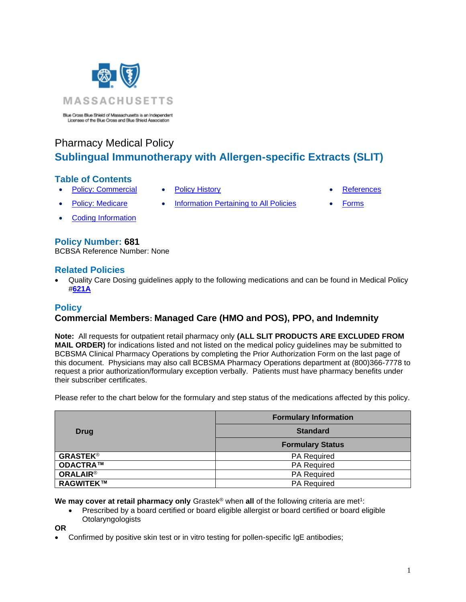

Blue Cross Blue Shield of Massachusetts is an Independent<br>Licensee of the Blue Cross and Blue Shield Association

# Pharmacy Medical Policy **Sublingual Immunotherapy with Allergen-specific Extracts (SLIT)**

# **Table of Contents**

- [Policy: Commercial](#page-0-0) [Policy History](#page-2-0)  **[References](#page-2-1)**
- 

- 
- [Policy: Medicare](#page-0-0) [Information Pertaining to All Policies](#page-2-2) [Forms](http://www.bluecrossma.org/medical-policies/sites/g/files/csphws2091/files/acquiadam-assets/023%20E%20Form%20medication%20prior%20auth%20instruction%20prn.pdf)
- 

• [Coding Information](#page-2-3)

# **Policy Number: 681**

BCBSA Reference Number: None

# **Related Policies**

• Quality Care Dosing guidelines apply to the following medications and can be found in Medical Policy #**[621A](http://www.bluecrossma.org/medical-policies/sites/g/files/csphws2091/files/acquiadam-assets/621A%20Quality%20Care%20Dosing%20Guidelines%20prn.pdf)**

# <span id="page-0-0"></span>**Policy**

# **Commercial Members: Managed Care (HMO and POS), PPO, and Indemnity**

**Note:** All requests for outpatient retail pharmacy only **(ALL SLIT PRODUCTS ARE EXCLUDED FROM MAIL ORDER)** for indications listed and not listed on the medical policy guidelines may be submitted to BCBSMA Clinical Pharmacy Operations by completing the Prior Authorization Form on the last page of this document. Physicians may also call BCBSMA Pharmacy Operations department at (800)366-7778 to request a prior authorization/formulary exception verbally. Patients must have pharmacy benefits under their subscriber certificates.

Please refer to the chart below for the formulary and step status of the medications affected by this policy.

| Drug            | <b>Formulary Information</b> |
|-----------------|------------------------------|
|                 | <b>Standard</b>              |
|                 | <b>Formulary Status</b>      |
| <b>GRASTEK®</b> | <b>PA Required</b>           |
| ODACTRA™        | <b>PA Required</b>           |
| <b>ORALAIR®</b> | <b>PA Required</b>           |
| RAGWITEK™       | <b>PA Required</b>           |

**We may cover at retail pharmacy only** Grastek® when **all** of the following criteria are met<sup>1</sup>:

- Prescribed by a board certified or board eligible allergist or board certified or board eligible **Otolaryngologists**
- **OR**
	- Confirmed by positive skin test or in vitro testing for pollen-specific IgE antibodies;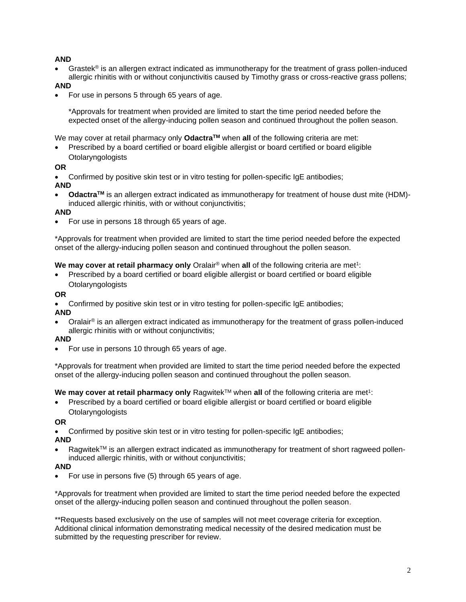### **AND**

• Grastek® is an allergen extract indicated as immunotherapy for the treatment of grass pollen-induced allergic rhinitis with or without conjunctivitis caused by Timothy grass or cross-reactive grass pollens;

### **AND**

• For use in persons 5 through 65 years of age.

\*Approvals for treatment when provided are limited to start the time period needed before the expected onset of the allergy-inducing pollen season and continued throughout the pollen season.

We may cover at retail pharmacy only **OdactraTM** when **all** of the following criteria are met:

• Prescribed by a board certified or board eligible allergist or board certified or board eligible **Otolaryngologists** 

#### **OR**

• Confirmed by positive skin test or in vitro testing for pollen-specific IgE antibodies;

#### **AND**

• **OdactraTM** is an allergen extract indicated as immunotherapy for treatment of house dust mite (HDM) induced allergic rhinitis, with or without conjunctivitis;

#### **AND**

• For use in persons 18 through 65 years of age.

\*Approvals for treatment when provided are limited to start the time period needed before the expected onset of the allergy-inducing pollen season and continued throughout the pollen season.

#### **We may cover at retail pharmacy only** Oralair® when **all** of the following criteria are met<sup>1</sup>:

• Prescribed by a board certified or board eligible allergist or board certified or board eligible **Otolaryngologists** 

#### **OR**

- Confirmed by positive skin test or in vitro testing for pollen-specific IgE antibodies;
- **AND**
- Oralair® is an allergen extract indicated as immunotherapy for the treatment of grass pollen-induced allergic rhinitis with or without conjunctivitis;

#### **AND**

• For use in persons 10 through 65 years of age.

\*Approvals for treatment when provided are limited to start the time period needed before the expected onset of the allergy-inducing pollen season and continued throughout the pollen season.

#### **We may cover at retail pharmacy only** Ragwitek™ when **all** of the following criteria are met<sup>1</sup>:

• Prescribed by a board certified or board eligible allergist or board certified or board eligible **Otolaryngologists** 

#### **OR**

• Confirmed by positive skin test or in vitro testing for pollen-specific IgE antibodies;

#### **AND**

Ragwitek™ is an allergen extract indicated as immunotherapy for treatment of short ragweed polleninduced allergic rhinitis, with or without conjunctivitis;

#### **AND**

• For use in persons five (5) through 65 years of age.

\*Approvals for treatment when provided are limited to start the time period needed before the expected onset of the allergy-inducing pollen season and continued throughout the pollen season.

\*\*Requests based exclusively on the use of samples will not meet coverage criteria for exception. Additional clinical information demonstrating medical necessity of the desired medication must be submitted by the requesting prescriber for review.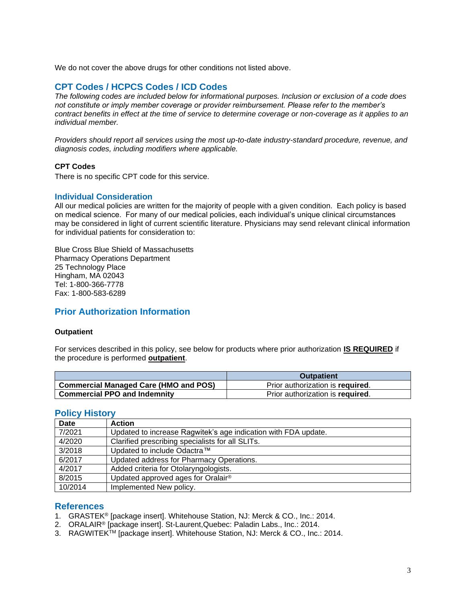<span id="page-2-3"></span>We do not cover the above drugs for other conditions not listed above.

## **CPT Codes / HCPCS Codes / ICD Codes**

*The following codes are included below for informational purposes. Inclusion or exclusion of a code does not constitute or imply member coverage or provider reimbursement. Please refer to the member's contract benefits in effect at the time of service to determine coverage or non-coverage as it applies to an individual member.*

*Providers should report all services using the most up-to-date industry-standard procedure, revenue, and diagnosis codes, including modifiers where applicable.*

#### **CPT Codes**

There is no specific CPT code for this service.

#### <span id="page-2-2"></span>**Individual Consideration**

All our medical policies are written for the majority of people with a given condition. Each policy is based on medical science. For many of our medical policies, each individual's unique clinical circumstances may be considered in light of current scientific literature. Physicians may send relevant clinical information for individual patients for consideration to:

Blue Cross Blue Shield of Massachusetts Pharmacy Operations Department 25 Technology Place Hingham, MA 02043 Tel: 1-800-366-7778 Fax: 1-800-583-6289

### <span id="page-2-0"></span>**Prior Authorization Information**

#### **Outpatient**

For services described in this policy, see below for products where prior authorization **IS REQUIRED** if the procedure is performed **outpatient**.

|                                              | <b>Outpatient</b>                |
|----------------------------------------------|----------------------------------|
| <b>Commercial Managed Care (HMO and POS)</b> | Prior authorization is required. |
| <b>Commercial PPO and Indemnity</b>          | Prior authorization is required. |

### **Policy History**

| Date    | <b>Action</b>                                                  |
|---------|----------------------------------------------------------------|
| 7/2021  | Updated to increase Ragwitek's age indication with FDA update. |
| 4/2020  | Clarified prescribing specialists for all SLITs.               |
| 3/2018  | Updated to include Odactra™                                    |
| 6/2017  | Updated address for Pharmacy Operations.                       |
| 4/2017  | Added criteria for Otolaryngologists.                          |
| 8/2015  | Updated approved ages for Oralair®                             |
| 10/2014 | Implemented New policy.                                        |

### <span id="page-2-1"></span>**References**

- 1. GRASTEK® [package insert]. Whitehouse Station, NJ: Merck & CO., Inc.: 2014.
- 2. ORALAIR® [package insert]. St-Laurent,Quebec: Paladin Labs., Inc.: 2014.
- 3. RAGWITEKTM [package insert]. Whitehouse Station, NJ: Merck & CO., Inc.: 2014.